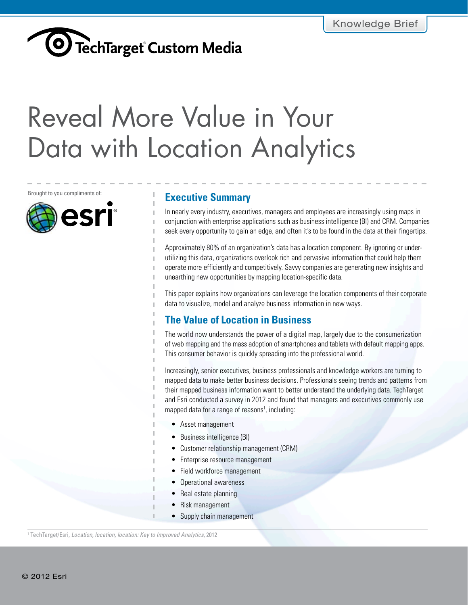## <span id="page-0-0"></span>**COVITT** Reveal More Value in Your Data with Location Analytics

**The Value of Location in Brought to you compliments of:** 



### **Executive Summary**

In nearly every industry, executives, managers and employees are increasingly using maps in conjunction with enterprise applications such as business intelligence (BI) and CRM. Companies seek every opportunity to gain an edge, and often it's to be found in the data at their fingertips.

Approximately 80% of an organization's data has a location component. By ignoring or underutilizing this data, organizations overlook rich and pervasive information that could help them operate more efficiently and competitively. Savvy companies are generating new insights and unearthing new opportunities by mapping location-specific data.

This paper explains how organizations can leverage the location components of their corporate data to visualize, model and analyze business information in new ways.

### **The Value of Location in Business**

The world now understands the power of a digital map, largely due to the consumerization of web mapping and the mass adoption of smartphones and tablets with default mapping apps. This consumer behavior is quickly spreading into the professional world.

Increasingly, senior executives, business professionals and knowledge workers are turning to mapped data to make better business decisions. Professionals seeing trends and patterns from their mapped business information want to better understand the underlying data. TechTarget and Esri conducted a survey in 2012 and found that managers and executives commonly use mapped data for a range of reasons<sup>1</sup>, including:

- • Asset management
- Business intelligence (BI)
- • Customer relationship management (CRM)
- Enterprise resource management
- Field workforce management
- Operational awareness
- Real estate planning
- Risk management
- Supply chain management

1 TechTarget/Esri, *Location, location, location: Key to Improved Analytics*, 2012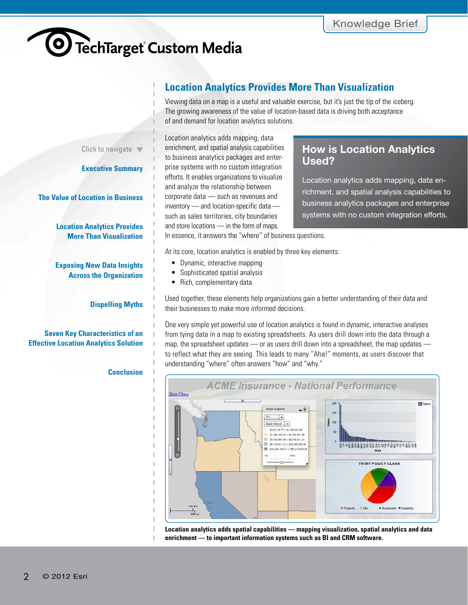### **Location Analytics Provides More Than Visualization**

Viewing data on a map is a useful and valuable exercise, but it's just the tip of the iceberg. The growing awareness of the value of location-based data is driving both acceptance of and demand for location analytics solutions.

<span id="page-1-0"></span>Click to navigate  $\blacktriangledown$ 

**[Executive Summary](#page-0-0)** 

**[The Value of Location in Business](#page-0-0)**

**Location Analytics Provides More Than Visualization**

**[Exposing New Data Insights](#page-2-0)  Across the Organization**

**[Dispelling Myths](#page-2-0)**

### **Seven Key Characteristics of an [Effective Location Analytics Solution](#page-4-0)**

### **[Conclusion](#page-5-0)**

J. T.

Location analytics adds mapping, data enrichment, and spatial analysis capabilities to business analytics packages and enterprise systems with no custom integration efforts. It enables organizations to visualize and analyze the relationship between corporate data — such as revenues and inventory — and location-specific data such as sales territories, city boundaries and store locations — in the form of maps.

### **How is Location Analytics Used?**

Location analytics adds mapping, data enrichment, and spatial analysis capabilities to business analytics packages and enterprise systems with no custom integration efforts.

In essence, it answers the "where" of business questions.

At its core, location analytics is enabled by three key elements:

- Dynamic, interactive mapping
- Sophisticated spatial analysis
- Rich, complementary data

Used together, these elements help organizations gain a better understanding of their data and their businesses to make more informed decisions.

One very simple yet powerful use of location analytics is found in dynamic, interactive analyses from tying data in a map to existing spreadsheets. As users drill down into the data through a map, the spreadsheet updates — or as users drill down into a spreadsheet, the map updates to reflect what they are seeing. This leads to many "Aha!" moments, as users discover that understanding "where" often answers "how" and "why."



**Location analytics adds spatial capabilities — mapping visualization, spatial analytics and data enrichment — to important information systems such as BI and CRM software.**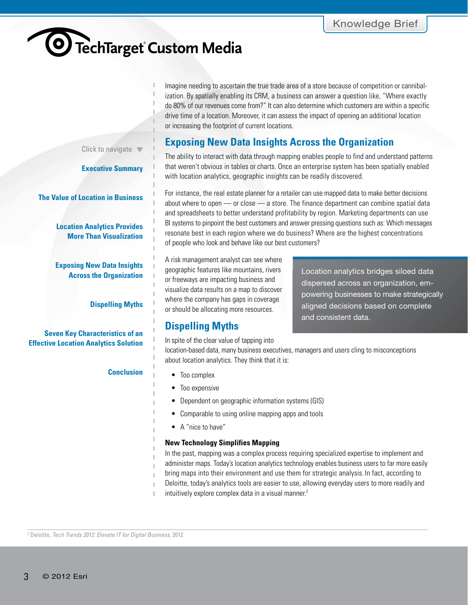# <span id="page-2-0"></span><sup>O</sup> TechTarget Custom Media

Imagine needing to ascertain the true trade area of a store because of competition or cannibalization. By spatially enabling its CRM, a business can answer a question like, "Where exactly do 80% of our revenues come from?" It can also determine which customers are within a specific drive time of a location. Moreover, it can assess the impact of opening an additional location or increasing the footprint of current locations.

### **Exposing New Data Insights Across the Organization**

The ability to interact with data through mapping enables people to find and understand patterns that weren't obvious in tables or charts. Once an enterprise system has been spatially enabled with location analytics, geographic insights can be readily discovered.

For instance, the real estate planner for a retailer can use mapped data to make better decisions about where to open — or close — a store. The finance department can combine spatial data and spreadsheets to better understand profitability by region. Marketing departments can use BI systems to pinpoint the best customers and answer pressing questions such as: Which messages resonate best in each region where we do business? Where are the highest concentrations of people who look and behave like our best customers?

A risk management analyst can see where geographic features like mountains, rivers or freeways are impacting business and visualize data results on a map to discover where the company has gaps in coverage or should be allocating more resources.

### **Dispelling Myths**

In spite of the clear value of tapping into

Location analytics bridges siloed data dispersed across an organization, empowering businesses to make strategically aligned decisions based on complete and consistent data.

location-based data, many business executives, managers and users cling to misconceptions about location analytics. They think that it is:

- Too complex
- Too expensive
- Dependent on geographic information systems (GIS)
- Comparable to using online mapping apps and tools
- A "nice to have"

### **New Technology Simplifies Mapping**

In the past, mapping was a complex process requiring specialized expertise to implement and administer maps. Today's location analytics technology enables business users to far more easily bring maps into their environment and use them for strategic analysis. In fact, according to Deloitte, today's analytics tools are easier to use, allowing everyday users to more readily and intuitively explore complex data in a visual manner. 2

2 Deloitte, *Tech Trends 2012: Elevate IT for Digital Business*, 2012

Click to navigate  $\blacktriangledown$ 

**[Executive Summary](#page-0-0)** 

**[The Value of Location in Business](#page-0-0)**

**[Location Analytics Provides](#page-1-0)  More Than Visualization**

**Exposing New Data Insights Across the Organization**

**Dispelling Myths**

**Seven Key Characteristics of an [Effective Location Analytics Solution](#page-4-0)**

### **[Conclusion](#page-5-0)**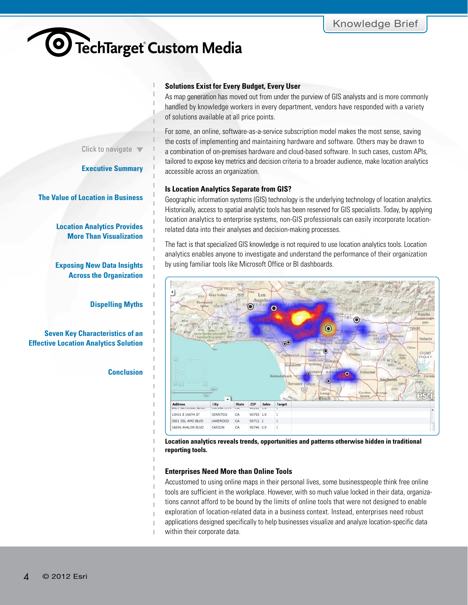Click to navigate  $\blacktriangledown$ 

**[Executive Summary](#page-0-0)** 

**[The Value of Location in Business](#page-0-0)**

**[Location Analytics Provides](#page-1-0)  More Than Visualization**

**[Exposing New Data Insights](#page-2-0)  Across the Organization**

**[Dispelling Myths](#page-2-0)**

**Seven Key Characteristics of an [Effective Location Analytics Solution](#page-4-0)**

**[Conclusion](#page-5-0)**

#### **Solutions Exist for Every Budget, Every User**

As map generation has moved out from under the purview of GIS analysts and is more commonly handled by knowledge workers in every department, vendors have responded with a variety of solutions available at all price points.

For some, an online, software-as-a-service subscription model makes the most sense, saving the costs of implementing and maintaining hardware and software. Others may be drawn to a combination of on-premises hardware and cloud-based software. In such cases, custom APIs, tailored to expose key metrics and decision criteria to a broader audience, make location analytics accessible across an organization.

#### **Is Location Analytics Separate from GIS?**

Geographic information systems (GIS) technology is the underlying technology of location analytics. Historically, access to spatial analytic tools has been reserved for GIS specialists. Today, by applying location analytics to enterprise systems, non-GIS professionals can easily incorporate locationrelated data into their analyses and decision-making processes.

The fact is that specialized GIS knowledge is not required to use location analytics tools. Location analytics enables anyone to investigate and understand the performance of their organization by using familiar tools like Microsoft Office or BI dashboards.



**Location analytics reveals trends, opportunities and patterns otherwise hidden in traditional reporting tools.**

### **Enterprises Need More than Online Tools**

Accustomed to using online maps in their personal lives, some businesspeople think free online tools are sufficient in the workplace. However, with so much value locked in their data, organizations cannot afford to be bound by the limits of online tools that were not designed to enable exploration of location-related data in a business context. Instead, enterprises need robust applications designed specifically to help businesses visualize and analyze location-specific data within their corporate data.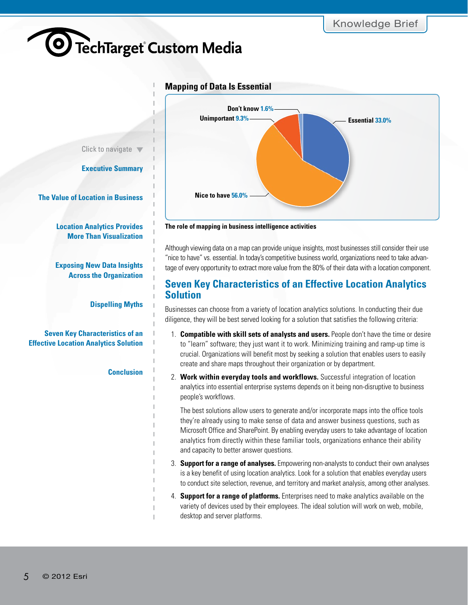

### **Mapping of Data Is Essential**

<span id="page-4-0"></span>Click to navigate  $\blacktriangledown$ 

**[Executive Summary](#page-0-0)** 

**[The Value of Location in Business](#page-0-0)**

**[Location Analytics Provides](#page-1-0)  More Than Visualization**

**[Exposing New Data Insights](#page-2-0)  Across the Organization**

**[Dispelling Myths](#page-2-0)**

**Seven Key Characteristics of an Effective Location Analytics Solution**

#### **[Conclusion](#page-5-0)**



"nice to have" vs. essential. In today's competitive business world, organizations need to take advantage of every opportunity to extract more value from the 80% of their data with a location component.

### **Seven Key Characteristics of an Effective Location Analytics Solution**

Businesses can choose from a variety of location analytics solutions. In conducting their due diligence, they will be best served looking for a solution that satisfies the following criteria:

- 1. **Compatible with skill sets of analysts and users.** People don't have the time or desire to "learn" software; they just want it to work. Minimizing training and ramp-up time is crucial. Organizations will benefit most by seeking a solution that enables users to easily create and share maps throughout their organization or by department.
- 2. **Work within everyday tools and workflows.** Successful integration of location analytics into essential enterprise systems depends on it being non-disruptive to business people's workflows.

The best solutions allow users to generate and/or incorporate maps into the office tools they're already using to make sense of data and answer business questions, such as Microsoft Office and SharePoint. By enabling everyday users to take advantage of location analytics from directly within these familiar tools, organizations enhance their ability and capacity to better answer questions.

- 3. **Support for a range of analyses.** Empowering non-analysts to conduct their own analyses is a key benefit of using location analytics. Look for a solution that enables everyday users to conduct site selection, revenue, and territory and market analysis, among other analyses.
- 4. **Support for a range of platforms.** Enterprises need to make analytics available on the variety of devices used by their employees. The ideal solution will work on web, mobile, desktop and server platforms.